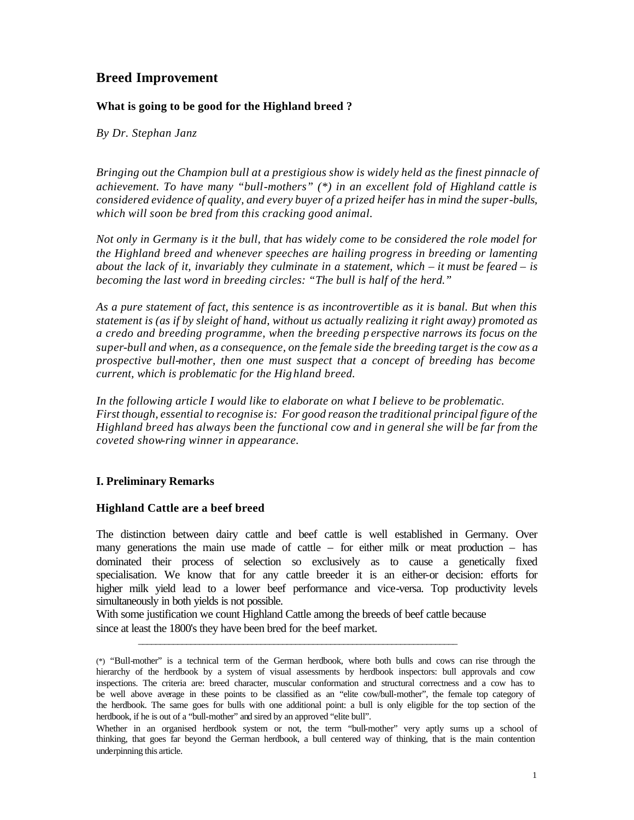# **Breed Improvement**

# **What is going to be good for the Highland breed ?**

*By Dr. Stephan Janz*

*Bringing out the Champion bull at a prestigious show is widely held as the finest pinnacle of achievement. To have many "bull-mothers" (\*) in an excellent fold of Highland cattle is considered evidence of quality, and every buyer of a prized heifer has in mind the super-bulls, which will soon be bred from this cracking good animal.* 

*Not only in Germany is it the bull, that has widely come to be considered the role model for the Highland breed and whenever speeches are hailing progress in breeding or lamenting about the lack of it, invariably they culminate in a statement, which – it must be feared – is becoming the last word in breeding circles: "The bull is half of the herd."*

*As a pure statement of fact, this sentence is as incontrovertible as it is banal. But when this statement is (as if by sleight of hand, without us actually realizing it right away) promoted as a credo and breeding programme, when the breeding p erspective narrows its focus on the super-bull and when, as a consequence, on the female side the breeding target is the cow as a prospective bull-mother, then one must suspect that a concept of breeding has become current, which is problematic for the Hig hland breed.* 

*In the following article I would like to elaborate on what I believe to be problematic. First though, essential to recognise is: For good reason the traditional principal figure of the Highland breed has always been the functional cow and in general she will be far from the coveted show-ring winner in appearance.* 

# **I. Preliminary Remarks**

### **Highland Cattle are a beef breed**

The distinction between dairy cattle and beef cattle is well established in Germany. Over many generations the main use made of cattle – for either milk or meat production – has dominated their process of selection so exclusively as to cause a genetically fixed specialisation. We know that for any cattle breeder it is an either-or decision: efforts for higher milk yield lead to a lower beef performance and vice-versa. Top productivity levels simultaneously in both yields is not possible.

With some justification we count Highland Cattle among the breeds of beef cattle because since at least the 1800's they have been bred for the beef market.

 $\frac{1}{2}$  ,  $\frac{1}{2}$  ,  $\frac{1}{2}$  ,  $\frac{1}{2}$  ,  $\frac{1}{2}$  ,  $\frac{1}{2}$  ,  $\frac{1}{2}$  ,  $\frac{1}{2}$  ,  $\frac{1}{2}$  ,  $\frac{1}{2}$  ,  $\frac{1}{2}$  ,  $\frac{1}{2}$  ,  $\frac{1}{2}$  ,  $\frac{1}{2}$  ,  $\frac{1}{2}$  ,  $\frac{1}{2}$  ,  $\frac{1}{2}$  ,  $\frac{1}{2}$  ,  $\frac{1$ 

<sup>(\*)</sup> "Bull-mother" is a technical term of the German herdbook, where both bulls and cows can rise through the hierarchy of the herdbook by a system of visual assessments by herdbook inspectors: bull approvals and cow inspections. The criteria are: breed character, muscular conformation and structural correctness and a cow has to be well above average in these points to be classified as an "elite cow/bull-mother", the female top category of the herdbook. The same goes for bulls with one additional point: a bull is only eligible for the top section of the herdbook, if he is out of a "bull-mother" and sired by an approved "elite bull".

Whether in an organised herdbook system or not, the term "bull-mother" very aptly sums up a school of thinking, that goes far beyond the German herdbook, a bull centered way of thinking, that is the main contention underpinning this article.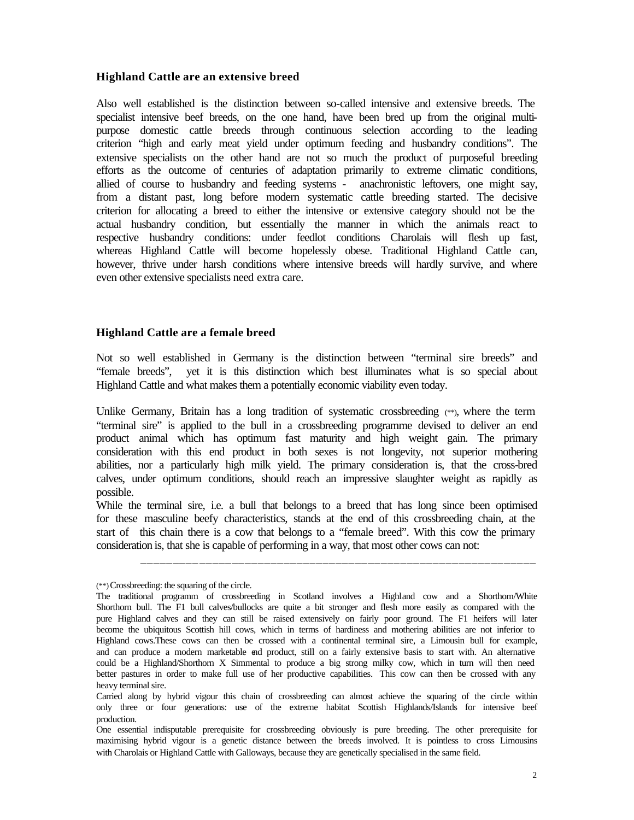### **Highland Cattle are an extensive breed**

Also well established is the distinction between so-called intensive and extensive breeds. The specialist intensive beef breeds, on the one hand, have been bred up from the original multipurpose domestic cattle breeds through continuous selection according to the leading criterion "high and early meat yield under optimum feeding and husbandry conditions". The extensive specialists on the other hand are not so much the product of purposeful breeding efforts as the outcome of centuries of adaptation primarily to extreme climatic conditions, allied of course to husbandry and feeding systems - anachronistic leftovers, one might say, from a distant past, long before modern systematic cattle breeding started. The decisive criterion for allocating a breed to either the intensive or extensive category should not be the actual husbandry condition, but essentially the manner in which the animals react to respective husbandry conditions: under feedlot conditions Charolais will flesh up fast, whereas Highland Cattle will become hopelessly obese. Traditional Highland Cattle can, however, thrive under harsh conditions where intensive breeds will hardly survive, and where even other extensive specialists need extra care.

### **Highland Cattle are a female breed**

Not so well established in Germany is the distinction between "terminal sire breeds" and "female breeds", yet it is this distinction which best illuminates what is so special about Highland Cattle and what makes them a potentially economic viability even today.

Unlike Germany, Britain has a long tradition of systematic crossbreeding (\*\*), where the term "terminal sire" is applied to the bull in a crossbreeding programme devised to deliver an end product animal which has optimum fast maturity and high weight gain. The primary consideration with this end product in both sexes is not longevity, not superior mothering abilities, nor a particularly high milk yield. The primary consideration is, that the cross-bred calves, under optimum conditions, should reach an impressive slaughter weight as rapidly as possible.

While the terminal sire, i.e. a bull that belongs to a breed that has long since been optimised for these masculine beefy characteristics, stands at the end of this crossbreeding chain, at the start of this chain there is a cow that belongs to a "female breed". With this cow the primary consideration is, that she is capable of performing in a way, that most other cows can not:

\_\_\_\_\_\_\_\_\_\_\_\_\_\_\_\_\_\_\_\_\_\_\_\_\_\_\_\_\_\_\_\_\_\_\_\_\_\_\_\_\_\_\_\_\_\_\_\_\_\_\_\_\_\_\_\_\_\_\_\_\_

<sup>(\*\*)</sup> Crossbreeding: the squaring of the circle.

The traditional programm of crossbreeding in Scotland involves a Highland cow and a Shorthorn/White Shorthorn bull. The F1 bull calves/bullocks are quite a bit stronger and flesh more easily as compared with the pure Highland calves and they can still be raised extensively on fairly poor ground. The F1 heifers will later become the ubiquitous Scottish hill cows, which in terms of hardiness and mothering abilities are not inferior to Highland cows.These cows can then be crossed with a continental terminal sire, a Limousin bull for example, and can produce a modern marketable end product, still on a fairly extensive basis to start with. An alternative could be a Highland/Shorthorn X Simmental to produce a big strong milky cow, which in turn will then need better pastures in order to make full use of her productive capabilities. This cow can then be crossed with any heavy terminal sire.

Carried along by hybrid vigour this chain of crossbreeding can almost achieve the squaring of the circle within only three or four generations: use of the extreme habitat Scottish Highlands/Islands for intensive beef production.

One essential indisputable prerequisite for crossbreeding obviously is pure breeding. The other prerequisite for maximising hybrid vigour is a genetic distance between the breeds involved. It is pointless to cross Limousins with Charolais or Highland Cattle with Galloways, because they are genetically specialised in the same field.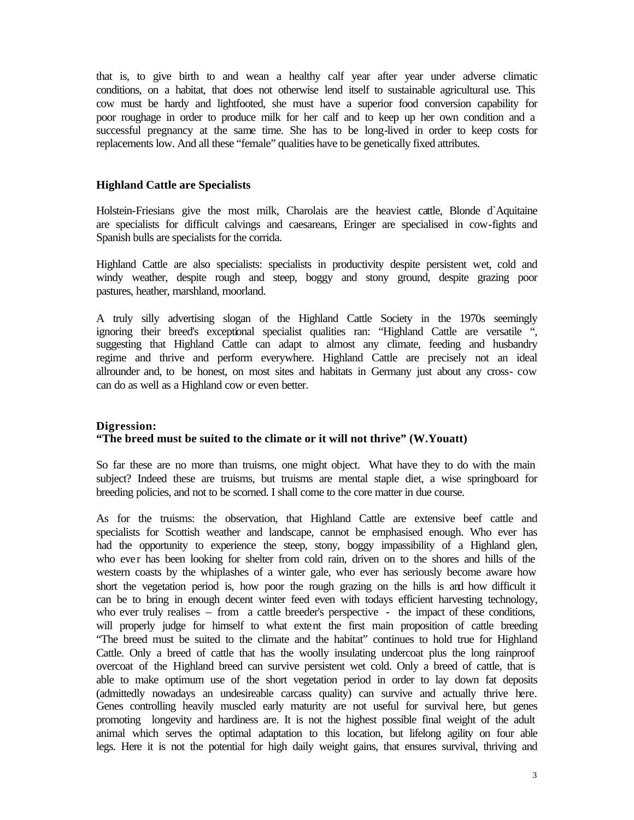that is, to give birth to and wean a healthy calf year after year under adverse climatic conditions, on a habitat, that does not otherwise lend itself to sustainable agricultural use. This cow must be hardy and lightfooted, she must have a superior food conversion capability for poor roughage in order to produce milk for her calf and to keep up her own condition and a successful pregnancy at the same time. She has to be long-lived in order to keep costs for replacements low. And all these "female" qualities have to be genetically fixed attributes.

### **Highland Cattle are Specialists**

Holstein-Friesians give the most milk, Charolais are the heaviest cattle, Blonde d`Aquitaine are specialists for difficult calvings and caesareans, Eringer are specialised in cow-fights and Spanish bulls are specialists for the corrida.

Highland Cattle are also specialists: specialists in productivity despite persistent wet, cold and windy weather, despite rough and steep, boggy and stony ground, despite grazing poor pastures, heather, marshland, moorland.

A truly silly advertising slogan of the Highland Cattle Society in the 1970s seemingly ignoring their breed's exceptional specialist qualities ran: "Highland Cattle are versatile ", suggesting that Highland Cattle can adapt to almost any climate, feeding and husbandry regime and thrive and perform everywhere. Highland Cattle are precisely not an ideal allrounder and, to be honest, on most sites and habitats in Germany just about any cross- cow can do as well as a Highland cow or even better.

# **Digression: "The breed must be suited to the climate or it will not thrive" (W.Youatt)**

So far these are no more than truisms, one might object. What have they to do with the main subject? Indeed these are truisms, but truisms are mental staple diet, a wise springboard for breeding policies, and not to be scorned. I shall come to the core matter in due course.

As for the truisms: the observation, that Highland Cattle are extensive beef cattle and specialists for Scottish weather and landscape, cannot be emphasised enough. Who ever has had the opportunity to experience the steep, stony, boggy impassibility of a Highland glen, who ever has been looking for shelter from cold rain, driven on to the shores and hills of the western coasts by the whiplashes of a winter gale, who ever has seriously become aware how short the vegetation period is, how poor the rough grazing on the hills is and how difficult it can be to bring in enough decent winter feed even with todays efficient harvesting technology, who ever truly realises – from a cattle breeder's perspective - the impact of these conditions, will properly judge for himself to what extent the first main proposition of cattle breeding "The breed must be suited to the climate and the habitat" continues to hold true for Highland Cattle. Only a breed of cattle that has the woolly insulating undercoat plus the long rainproof overcoat of the Highland breed can survive persistent wet cold. Only a breed of cattle, that is able to make optimum use of the short vegetation period in order to lay down fat deposits (admittedly nowadays an undesireable carcass quality) can survive and actually thrive here. Genes controlling heavily muscled early maturity are not useful for survival here, but genes promoting longevity and hardiness are. It is not the highest possible final weight of the adult animal which serves the optimal adaptation to this location, but lifelong agility on four able legs. Here it is not the potential for high daily weight gains, that ensures survival, thriving and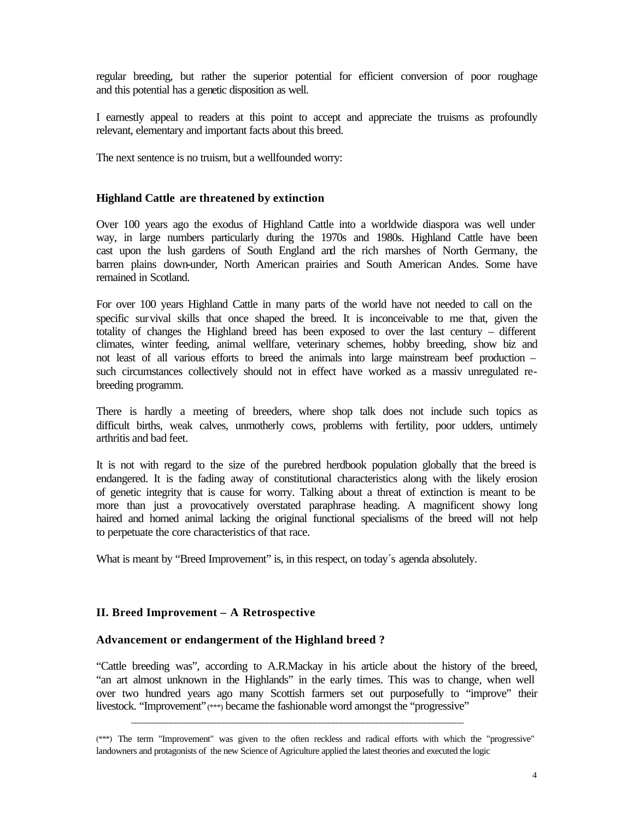regular breeding, but rather the superior potential for efficient conversion of poor roughage and this potential has a genetic disposition as well.

I earnestly appeal to readers at this point to accept and appreciate the truisms as profoundly relevant, elementary and important facts about this breed.

The next sentence is no truism, but a wellfounded worry:

#### **Highland Cattle are threatened by extinction**

Over 100 years ago the exodus of Highland Cattle into a worldwide diaspora was well under way, in large numbers particularly during the 1970s and 1980s. Highland Cattle have been cast upon the lush gardens of South England and the rich marshes of North Germany, the barren plains down-under, North American prairies and South American Andes. Some have remained in Scotland.

For over 100 years Highland Cattle in many parts of the world have not needed to call on the specific survival skills that once shaped the breed. It is inconceivable to me that, given the totality of changes the Highland breed has been exposed to over the last century – different climates, winter feeding, animal wellfare, veterinary schemes, hobby breeding, show biz and not least of all various efforts to breed the animals into large mainstream beef production – such circumstances collectively should not in effect have worked as a massiv unregulated rebreeding programm.

There is hardly a meeting of breeders, where shop talk does not include such topics as difficult births, weak calves, unmotherly cows, problems with fertility, poor udders, untimely arthritis and bad feet.

It is not with regard to the size of the purebred herdbook population globally that the breed is endangered. It is the fading away of constitutional characteristics along with the likely erosion of genetic integrity that is cause for worry. Talking about a threat of extinction is meant to be more than just a provocatively overstated paraphrase heading. A magnificent showy long haired and horned animal lacking the original functional specialisms of the breed will not help to perpetuate the core characteristics of that race.

What is meant by "Breed Improvement" is, in this respect, on today's agenda absolutely.

\_\_\_\_\_\_\_\_\_\_\_\_\_\_\_\_\_\_\_\_\_\_\_\_\_\_\_\_\_\_\_\_\_\_\_\_\_\_\_\_\_\_\_\_\_\_\_\_\_\_\_\_\_\_\_\_\_\_\_\_\_\_\_\_\_\_\_\_\_\_\_\_\_\_\_\_

#### **II. Breed Improvement – A Retrospective**

#### **Advancement or endangerment of the Highland breed ?**

"Cattle breeding was", according to A.R.Mackay in his article about the history of the breed, "an art almost unknown in the Highlands" in the early times. This was to change, when well over two hundred years ago many Scottish farmers set out purposefully to "improve" their livestock. "Improvement"(\*\*\*) became the fashionable word amongst the "progressive"

<sup>(\*\*\*)</sup> The term "Improvement" was given to the often reckless and radical efforts with which the "progressive" landowners and protagonists of the new Science of Agriculture applied the latest theories and executed the logic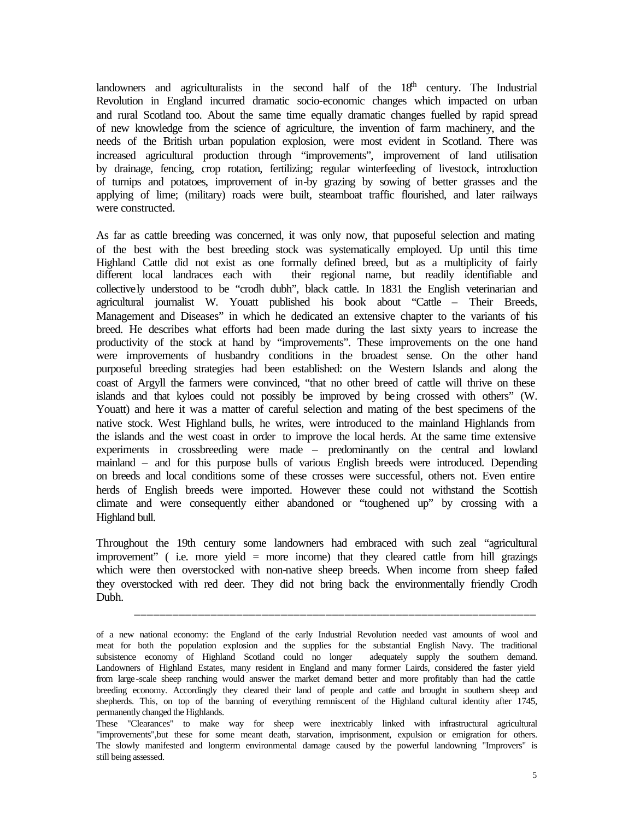landowners and agriculturalists in the second half of the  $18<sup>th</sup>$  century. The Industrial Revolution in England incurred dramatic socio-economic changes which impacted on urban and rural Scotland too. About the same time equally dramatic changes fuelled by rapid spread of new knowledge from the science of agriculture, the invention of farm machinery, and the needs of the British urban population explosion, were most evident in Scotland. There was increased agricultural production through "improvements", improvement of land utilisation by drainage, fencing, crop rotation, fertilizing; regular winterfeeding of livestock, introduction of turnips and potatoes, improvement of in-by grazing by sowing of better grasses and the applying of lime; (military) roads were built, steamboat traffic flourished, and later railways were constructed.

As far as cattle breeding was concerned, it was only now, that puposeful selection and mating of the best with the best breeding stock was systematically employed. Up until this time Highland Cattle did not exist as one formally defined breed, but as a multiplicity of fairly different local landraces each with their regional name, but readily identifiable and collectively understood to be "crodh dubh", black cattle. In 1831 the English veterinarian and agricultural journalist W. Youatt published his book about "Cattle – Their Breeds, Management and Diseases" in which he dedicated an extensive chapter to the variants of this breed. He describes what efforts had been made during the last sixty years to increase the productivity of the stock at hand by "improvements". These improvements on the one hand were improvements of husbandry conditions in the broadest sense. On the other hand purposeful breeding strategies had been established: on the Western Islands and along the coast of Argyll the farmers were convinced, "that no other breed of cattle will thrive on these islands and that kyloes could not possibly be improved by being crossed with others" (W. Youatt) and here it was a matter of careful selection and mating of the best specimens of the native stock. West Highland bulls, he writes, were introduced to the mainland Highlands from the islands and the west coast in order to improve the local herds. At the same time extensive experiments in crossbreeding were made – predominantly on the central and lowland mainland – and for this purpose bulls of various English breeds were introduced. Depending on breeds and local conditions some of these crosses were successful, others not. Even entire herds of English breeds were imported. However these could not withstand the Scottish climate and were consequently either abandoned or "toughened up" by crossing with a Highland bull.

Throughout the 19th century some landowners had embraced with such zeal "agricultural improvement" ( i.e. more yield = more income) that they cleared cattle from hill grazings which were then overstocked with non-native sheep breeds. When income from sheep failed they overstocked with red deer. They did not bring back the environmentally friendly Crodh Dubh.

\_\_\_\_\_\_\_\_\_\_\_\_\_\_\_\_\_\_\_\_\_\_\_\_\_\_\_\_\_\_\_\_\_\_\_\_\_\_\_\_\_\_\_\_\_\_\_\_\_\_\_\_\_\_\_\_\_\_\_\_\_\_\_

of a new national economy: the England of the early Industrial Revolution needed vast amounts of wool and meat for both the population explosion and the supplies for the substantial English Navy. The traditional subsistence economy of Highland Scotland could no longer adequately supply the southern demand. Landowners of Highland Estates, many resident in England and many former Lairds, considered the faster yield from large-scale sheep ranching would answer the market demand better and more profitably than had the cattle breeding economy. Accordingly they cleared their land of people and cattle and brought in southern sheep and shepherds. This, on top of the banning of everything remniscent of the Highland cultural identity after 1745, permanently changed the Highlands.

These "Clearances" to make way for sheep were inextricably linked with infrastructural agricultural "improvements",but these for some meant death, starvation, imprisonment, expulsion or emigration for others. The slowly manifested and longterm environmental damage caused by the powerful landowning "Improvers" is still being assessed.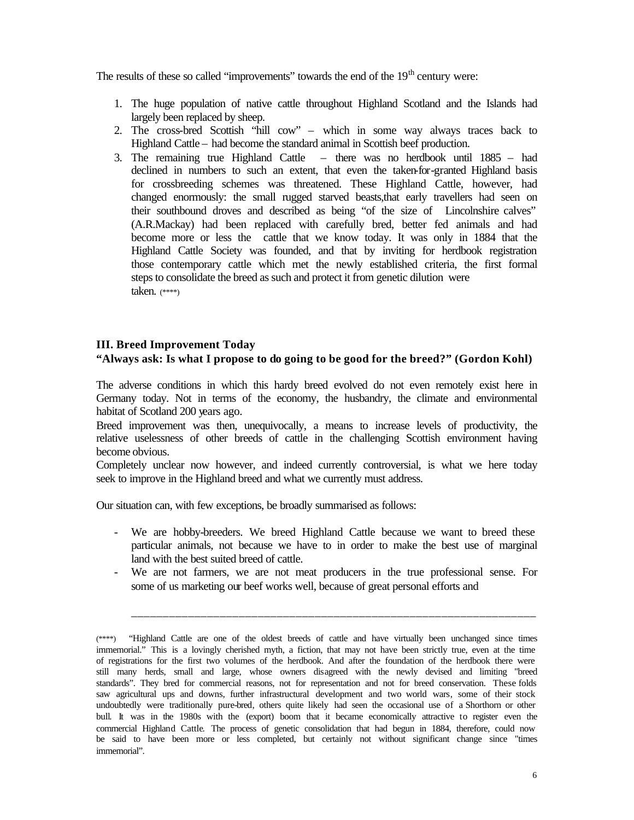The results of these so called "improvements" towards the end of the  $19<sup>th</sup>$  century were:

- 1. The huge population of native cattle throughout Highland Scotland and the Islands had largely been replaced by sheep.
- 2. The cross-bred Scottish "hill cow" which in some way always traces back to Highland Cattle – had become the standard animal in Scottish beef production.
- 3. The remaining true Highland Cattle there was no herdbook until 1885 had declined in numbers to such an extent, that even the taken-for-granted Highland basis for crossbreeding schemes was threatened. These Highland Cattle, however, had changed enormously: the small rugged starved beasts,that early travellers had seen on their southbound droves and described as being "of the size of Lincolnshire calves" (A.R.Mackay) had been replaced with carefully bred, better fed animals and had become more or less the cattle that we know today. It was only in 1884 that the Highland Cattle Society was founded, and that by inviting for herdbook registration those contemporary cattle which met the newly established criteria, the first formal steps to consolidate the breed as such and protect it from genetic dilution were taken. (\*\*\*\*)

### **III. Breed Improvement Today**

### **"Always ask: Is what I propose to do going to be good for the breed?" (Gordon Kohl)**

The adverse conditions in which this hardy breed evolved do not even remotely exist here in Germany today. Not in terms of the economy, the husbandry, the climate and environmental habitat of Scotland 200 years ago.

Breed improvement was then, unequivocally, a means to increase levels of productivity, the relative uselessness of other breeds of cattle in the challenging Scottish environment having become obvious.

Completely unclear now however, and indeed currently controversial, is what we here today seek to improve in the Highland breed and what we currently must address.

Our situation can, with few exceptions, be broadly summarised as follows:

- We are hobby-breeders. We breed Highland Cattle because we want to breed these particular animals, not because we have to in order to make the best use of marginal land with the best suited breed of cattle.
- We are not farmers, we are not meat producers in the true professional sense. For some of us marketing our beef works well, because of great personal efforts and

\_\_\_\_\_\_\_\_\_\_\_\_\_\_\_\_\_\_\_\_\_\_\_\_\_\_\_\_\_\_\_\_\_\_\_\_\_\_\_\_\_\_\_\_\_\_\_\_\_\_\_\_\_\_\_\_\_\_\_\_\_\_\_\_

<sup>(\*\*\*\*)</sup> "Highland Cattle are one of the oldest breeds of cattle and have virtually been unchanged since times immemorial." This is a lovingly cherished myth, a fiction, that may not have been strictly true, even at the time of registrations for the first two volumes of the herdbook. And after the foundation of the herdbook there were still many herds, small and large, whose owners disagreed with the newly devised and limiting "breed standards". They bred for commercial reasons, not for representation and not for breed conservation. These folds saw agricultural ups and downs, further infrastructural development and two world wars, some of their stock undoubtedly were traditionally pure-bred, others quite likely had seen the occasional use of a Shorthorn or other bull. It was in the 1980s with the (export) boom that it became economically attractive to register even the commercial Highland Cattle. The process of genetic consolidation that had begun in 1884, therefore, could now be said to have been more or less completed, but certainly not without significant change since "times immemorial".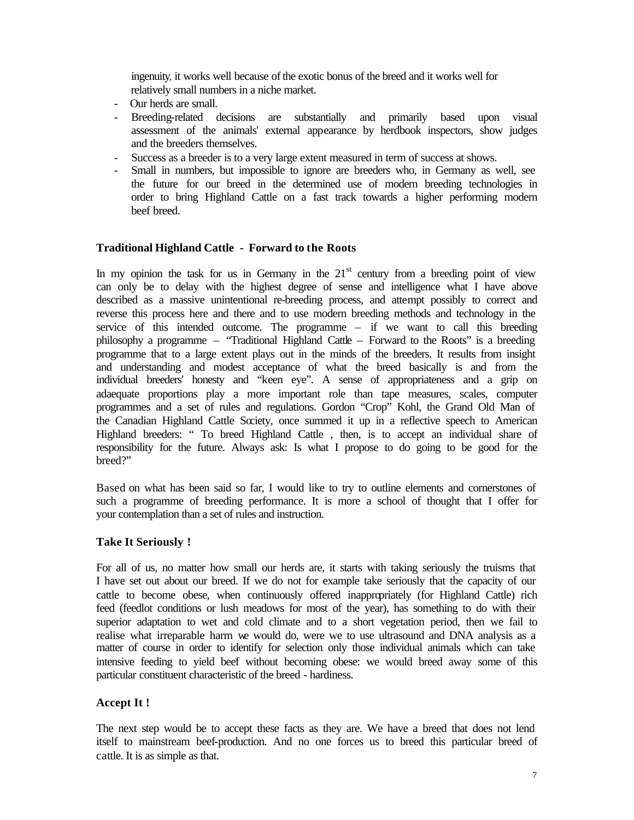ingenuity, it works well because of the exotic bonus of the breed and it works well for relatively small numbers in a niche market.

- Our herds are small.
- Breeding-related decisions are substantially and primarily based upon visual assessment of the animals' external appearance by herdbook inspectors, show judges and the breeders themselves.
- Success as a breeder is to a very large extent measured in term of success at shows.
- Small in numbers, but impossible to ignore are breeders who, in Germany as well, see the future for our breed in the determined use of modern breeding technologies in order to bring Highland Cattle on a fast track towards a higher performing modern beef breed.

### **Traditional Highland Cattle - Forward to the Roots**

In my opinion the task for us in Germany in the  $21<sup>st</sup>$  century from a breeding point of view can only be to delay with the highest degree of sense and intelligence what I have above described as a massive unintentional re-breeding process, and attempt possibly to correct and reverse this process here and there and to use modern breeding methods and technology in the service of this intended outcome. The programme – if we want to call this breeding philosophy a programme – "Traditional Highland Cattle – Forward to the Roots" is a breeding programme that to a large extent plays out in the minds of the breeders. It results from insight and understanding and modest acceptance of what the breed basically is and from the individual breeders' honesty and "keen eye". A sense of appropriateness and a grip on adaequate proportions play a more important role than tape measures, scales, computer programmes and a set of rules and regulations. Gordon "Crop" Kohl, the Grand Old Man of the Canadian Highland Cattle Society, once summed it up in a reflective speech to American Highland breeders: " To breed Highland Cattle , then, is to accept an individual share of responsibility for the future. Always ask: Is what I propose to do going to be good for the breed?"

Based on what has been said so far, I would like to try to outline elements and cornerstones of such a programme of breeding performance. It is more a school of thought that I offer for your contemplation than a set of rules and instruction.

#### **Take It Seriously !**

For all of us, no matter how small our herds are, it starts with taking seriously the truisms that I have set out about our breed. If we do not for example take seriously that the capacity of our cattle to become obese, when continuously offered inappropriately (for Highland Cattle) rich feed (feedlot conditions or lush meadows for most of the year), has something to do with their superior adaptation to wet and cold climate and to a short vegetation period, then we fail to realise what irreparable harm we would do, were we to use ultrasound and DNA analysis as a matter of course in order to identify for selection only those individual animals which can take intensive feeding to yield beef without becoming obese: we would breed away some of this particular constituent characteristic of the breed - hardiness.

#### **Accept It !**

The next step would be to accept these facts as they are. We have a breed that does not lend itself to mainstream beef-production. And no one forces us to breed this particular breed of cattle. It is as simple as that.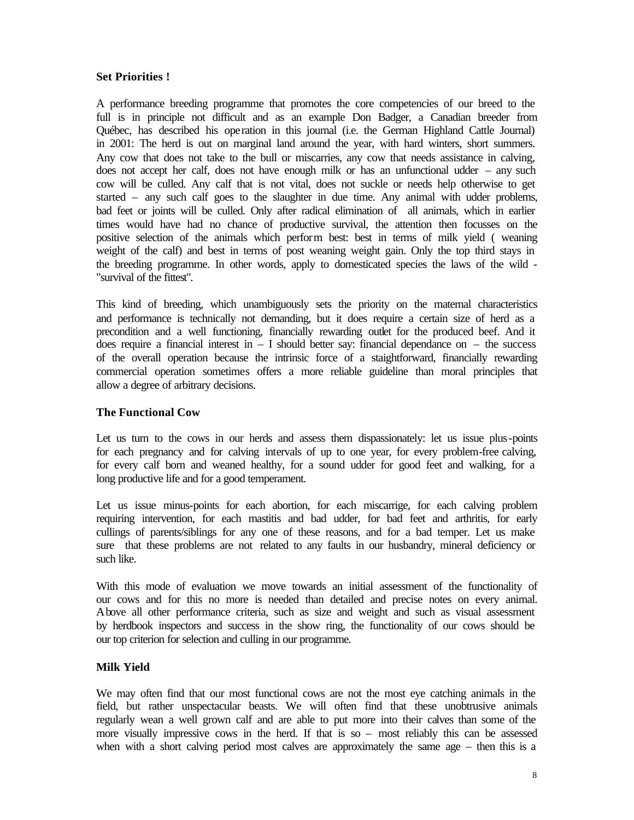# **Set Priorities !**

A performance breeding programme that promotes the core competencies of our breed to the full is in principle not difficult and as an example Don Badger, a Canadian breeder from Québec, has described his operation in this journal (i.e. the German Highland Cattle Journal) in 2001: The herd is out on marginal land around the year, with hard winters, short summers. Any cow that does not take to the bull or miscarries, any cow that needs assistance in calving, does not accept her calf, does not have enough milk or has an unfunctional udder – any such cow will be culled. Any calf that is not vital, does not suckle or needs help otherwise to get started – any such calf goes to the slaughter in due time. Any animal with udder problems, bad feet or joints will be culled. Only after radical elimination of all animals, which in earlier times would have had no chance of productive survival, the attention then focusses on the positive selection of the animals which perform best: best in terms of milk yield ( weaning weight of the calf) and best in terms of post weaning weight gain. Only the top third stays in the breeding programme. In other words, apply to domesticated species the laws of the wild - "survival of the fittest".

This kind of breeding, which unambiguously sets the priority on the maternal characteristics and performance is technically not demanding, but it does require a certain size of herd as a precondition and a well functioning, financially rewarding outlet for the produced beef. And it does require a financial interest in  $-$  I should better say: financial dependance on  $-$  the success of the overall operation because the intrinsic force of a staightforward, financially rewarding commercial operation sometimes offers a more reliable guideline than moral principles that allow a degree of arbitrary decisions.

### **The Functional Cow**

Let us turn to the cows in our herds and assess them dispassionately: let us issue plus-points for each pregnancy and for calving intervals of up to one year, for every problem-free calving, for every calf born and weaned healthy, for a sound udder for good feet and walking, for a long productive life and for a good temperament.

Let us issue minus-points for each abortion, for each miscarrige, for each calving problem requiring intervention, for each mastitis and bad udder, for bad feet and arthritis, for early cullings of parents/siblings for any one of these reasons, and for a bad temper. Let us make sure that these problems are not related to any faults in our husbandry, mineral deficiency or such like.

With this mode of evaluation we move towards an initial assessment of the functionality of our cows and for this no more is needed than detailed and precise notes on every animal. Above all other performance criteria, such as size and weight and such as visual assessment by herdbook inspectors and success in the show ring, the functionality of our cows should be our top criterion for selection and culling in our programme.

### **Milk Yield**

We may often find that our most functional cows are not the most eye catching animals in the field, but rather unspectacular beasts. We will often find that these unobtrusive animals regularly wean a well grown calf and are able to put more into their calves than some of the more visually impressive cows in the herd. If that is so – most reliably this can be assessed when with a short calving period most calves are approximately the same age – then this is a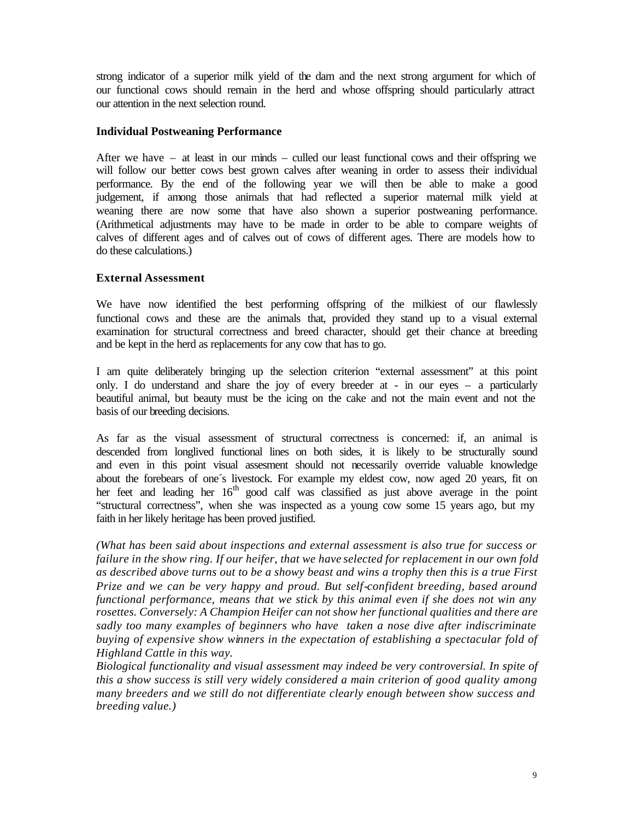strong indicator of a superior milk yield of the dam and the next strong argument for which of our functional cows should remain in the herd and whose offspring should particularly attract our attention in the next selection round.

### **Individual Postweaning Performance**

After we have – at least in our minds – culled our least functional cows and their offspring we will follow our better cows best grown calves after weaning in order to assess their individual performance. By the end of the following year we will then be able to make a good judgement, if among those animals that had reflected a superior maternal milk yield at weaning there are now some that have also shown a superior postweaning performance. (Arithmetical adjustments may have to be made in order to be able to compare weights of calves of different ages and of calves out of cows of different ages. There are models how to do these calculations.)

# **External Assessment**

We have now identified the best performing offspring of the milkiest of our flawlessly functional cows and these are the animals that, provided they stand up to a visual external examination for structural correctness and breed character, should get their chance at breeding and be kept in the herd as replacements for any cow that has to go.

I am quite deliberately bringing up the selection criterion "external assessment" at this point only. I do understand and share the joy of every breeder at - in our eyes – a particularly beautiful animal, but beauty must be the icing on the cake and not the main event and not the basis of our breeding decisions.

As far as the visual assessment of structural correctness is concerned: if, an animal is descended from longlived functional lines on both sides, it is likely to be structurally sound and even in this point visual assesment should not necessarily override valuable knowledge about the forebears of one´s livestock. For example my eldest cow, now aged 20 years, fit on her feet and leading her  $16<sup>th</sup>$  good calf was classified as just above average in the point "structural correctness", when she was inspected as a young cow some 15 years ago, but my faith in her likely heritage has been proved justified.

*(What has been said about inspections and external assessment is also true for success or failure in the show ring. If our heifer, that we have selected for replacement in our own fold as described above turns out to be a showy beast and wins a trophy then this is a true First Prize and we can be very happy and proud. But self-confident breeding, based around functional performance, means that we stick by this animal even if she does not win any rosettes. Conversely: A Champion Heifer can not show her functional qualities and there are sadly too many examples of beginners who have taken a nose dive after indiscriminate buying of expensive show winners in the expectation of establishing a spectacular fold of Highland Cattle in this way.* 

*Biological functionality and visual assessment may indeed be very controversial. In spite of this a show success is still very widely considered a main criterion of good quality among many breeders and we still do not differentiate clearly enough between show success and breeding value.)*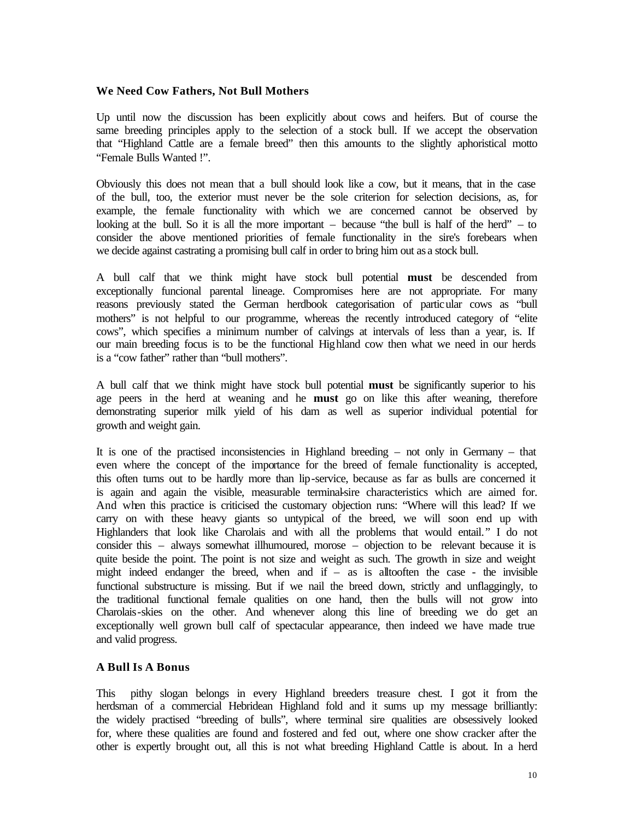### **We Need Cow Fathers, Not Bull Mothers**

Up until now the discussion has been explicitly about cows and heifers. But of course the same breeding principles apply to the selection of a stock bull. If we accept the observation that "Highland Cattle are a female breed" then this amounts to the slightly aphoristical motto "Female Bulls Wanted !".

Obviously this does not mean that a bull should look like a cow, but it means, that in the case of the bull, too, the exterior must never be the sole criterion for selection decisions, as, for example, the female functionality with which we are concerned cannot be observed by looking at the bull. So it is all the more important – because "the bull is half of the herd" – to consider the above mentioned priorities of female functionality in the sire's forebears when we decide against castrating a promising bull calf in order to bring him out as a stock bull.

A bull calf that we think might have stock bull potential **must** be descended from exceptionally funcional parental lineage. Compromises here are not appropriate. For many reasons previously stated the German herdbook categorisation of particular cows as "bull mothers" is not helpful to our programme, whereas the recently introduced category of "elite cows", which specifies a minimum number of calvings at intervals of less than a year, is. If our main breeding focus is to be the functional Highland cow then what we need in our herds is a "cow father" rather than "bull mothers".

A bull calf that we think might have stock bull potential **must** be significantly superior to his age peers in the herd at weaning and he **must** go on like this after weaning, therefore demonstrating superior milk yield of his dam as well as superior individual potential for growth and weight gain.

It is one of the practised inconsistencies in Highland breeding – not only in Germany – that even where the concept of the importance for the breed of female functionality is accepted, this often turns out to be hardly more than lip-service, because as far as bulls are concerned it is again and again the visible, measurable terminal-sire characteristics which are aimed for. And when this practice is criticised the customary objection runs: "Where will this lead? If we carry on with these heavy giants so untypical of the breed, we will soon end up with Highlanders that look like Charolais and with all the problems that would entail." I do not consider this – always somewhat illhumoured, morose – objection to be relevant because it is quite beside the point. The point is not size and weight as such. The growth in size and weight might indeed endanger the breed, when and  $if - as$  is alltooften the case - the invisible functional substructure is missing. But if we nail the breed down, strictly and unflaggingly, to the traditional functional female qualities on one hand, then the bulls will not grow into Charolais-skies on the other. And whenever along this line of breeding we do get an exceptionally well grown bull calf of spectacular appearance, then indeed we have made true and valid progress.

### **A Bull Is A Bonus**

This pithy slogan belongs in every Highland breeders treasure chest. I got it from the herdsman of a commercial Hebridean Highland fold and it sums up my message brilliantly: the widely practised "breeding of bulls", where terminal sire qualities are obsessively looked for, where these qualities are found and fostered and fed out, where one show cracker after the other is expertly brought out, all this is not what breeding Highland Cattle is about. In a herd